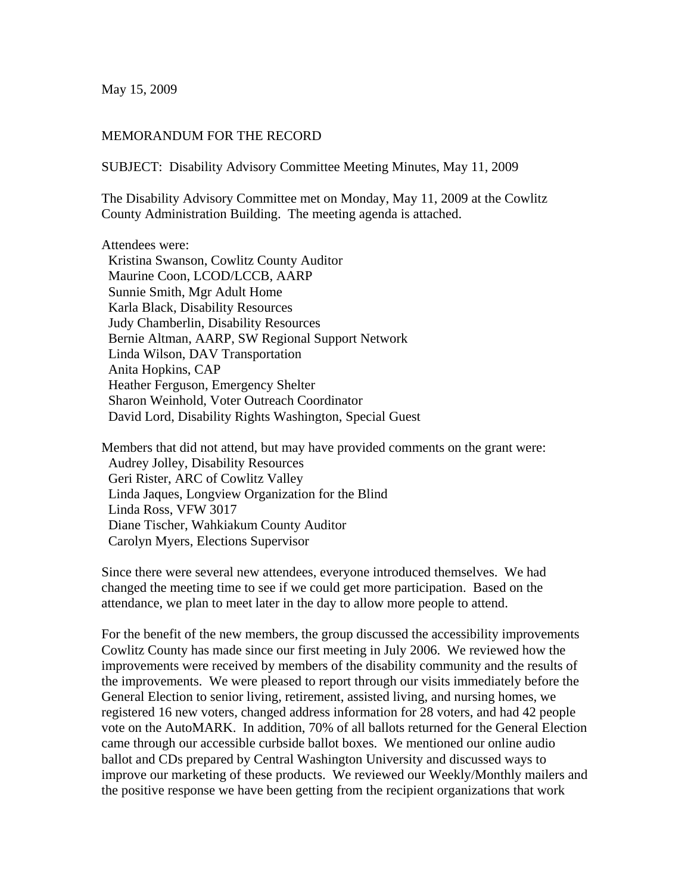May 15, 2009

## MEMORANDUM FOR THE RECORD

SUBJECT: Disability Advisory Committee Meeting Minutes, May 11, 2009

The Disability Advisory Committee met on Monday, May 11, 2009 at the Cowlitz County Administration Building. The meeting agenda is attached.

Attendees were:

 Kristina Swanson, Cowlitz County Auditor Maurine Coon, LCOD/LCCB, AARP Sunnie Smith, Mgr Adult Home Karla Black, Disability Resources Judy Chamberlin, Disability Resources Bernie Altman, AARP, SW Regional Support Network Linda Wilson, DAV Transportation Anita Hopkins, CAP Heather Ferguson, Emergency Shelter Sharon Weinhold, Voter Outreach Coordinator David Lord, Disability Rights Washington, Special Guest

Members that did not attend, but may have provided comments on the grant were: Audrey Jolley, Disability Resources Geri Rister, ARC of Cowlitz Valley Linda Jaques, Longview Organization for the Blind Linda Ross, VFW 3017 Diane Tischer, Wahkiakum County Auditor Carolyn Myers, Elections Supervisor

Since there were several new attendees, everyone introduced themselves. We had changed the meeting time to see if we could get more participation. Based on the attendance, we plan to meet later in the day to allow more people to attend.

For the benefit of the new members, the group discussed the accessibility improvements Cowlitz County has made since our first meeting in July 2006. We reviewed how the improvements were received by members of the disability community and the results of the improvements. We were pleased to report through our visits immediately before the General Election to senior living, retirement, assisted living, and nursing homes, we registered 16 new voters, changed address information for 28 voters, and had 42 people vote on the AutoMARK. In addition, 70% of all ballots returned for the General Election came through our accessible curbside ballot boxes. We mentioned our online audio ballot and CDs prepared by Central Washington University and discussed ways to improve our marketing of these products. We reviewed our Weekly/Monthly mailers and the positive response we have been getting from the recipient organizations that work